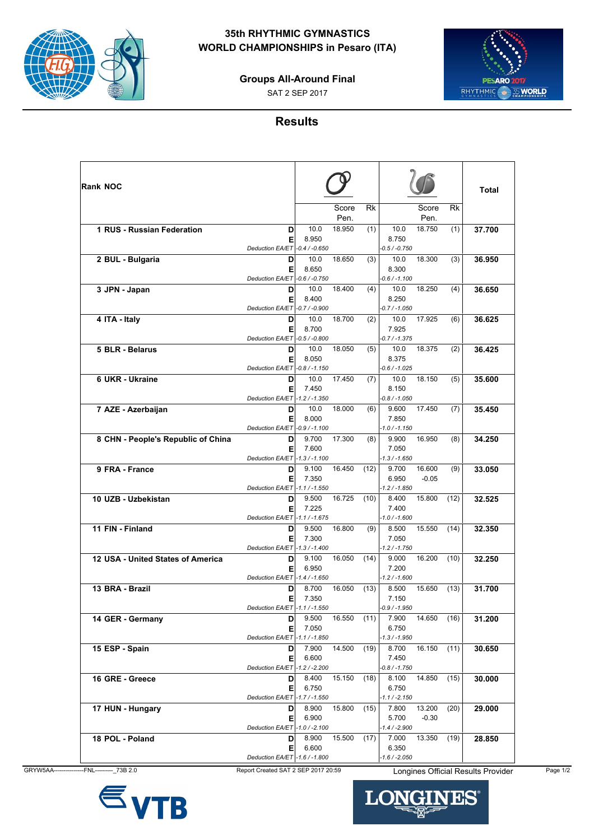

## **35th RHYTHMIC GYMNASTICS WORLD CHAMPIONSHIPS in Pesaro (ITA)**



SAT 2 SEP 2017



## **Results**

| <b>Rank NOC</b>                    |                                          |                |                     |                                   |                   |      | <b>Total</b> |
|------------------------------------|------------------------------------------|----------------|---------------------|-----------------------------------|-------------------|------|--------------|
|                                    |                                          |                | Rk<br>Score<br>Pen. |                                   | Score<br>Pen.     | Rk   |              |
| 1 RUS - Russian Federation         | D<br>E                                   | 10.0<br>8.950  | 18.950<br>(1)       | 10.0<br>8.750                     | 18.750            | (1)  | 37.700       |
| 2 BUL - Bulgaria                   | Deduction EA/ET -0.4 / -0.650<br>D       | 10.0           | 18.650<br>(3)       | $-0.5 / -0.750$<br>10.0           | 18.300            | (3)  | 36.950       |
|                                    | Е<br>Deduction EA/ET -0.6 / -0.750       | 8.650          |                     | 8.300<br>$-0.6 / -1.100$          |                   |      |              |
| 3 JPN - Japan                      | D<br>E                                   | 10.0<br>8.400  | 18.400<br>(4)       | 10.0<br>8.250                     | 18.250            | (4)  | 36.650       |
| 4 ITA - Italy                      | Deduction EA/ET -0.7 / -0.900<br>D       | 10.0           | 18.700<br>(2)       | $-0.7 / -1.050$<br>10.0           | 17.925            | (6)  | 36.625       |
|                                    | Е<br>Deduction EA/ET - 0.5 / -0.800      | 8.700          |                     | 7.925<br>-0.7 / -1.375            |                   |      |              |
| 5 BLR - Belarus                    | D<br>E<br>Deduction EA/ET - 0.8 / -1.150 | 10.0<br>8.050  | 18.050<br>(5)       | 10.0<br>8.375                     | 18.375            | (2)  | 36.425       |
| 6 UKR - Ukraine                    | D<br>El                                  | 10.0<br>7.450  | 17.450<br>(7)       | $-0.6 / -1.025$<br>10.0<br>8.150  | 18.150            | (5)  | 35.600       |
| 7 AZE - Azerbaijan                 | Deduction EA/ET -1.2 / -1.350<br>D       | 10.0           | 18.000<br>(6)       | $-0.8 / -1.050$<br>9.600          | 17.450            | (7)  | 35.450       |
|                                    | El<br>Deduction EA/ET - 0.9 / -1.100     | 8.000          |                     | 7.850<br>$-1.0 / -1.150$          |                   |      |              |
| 8 CHN - People's Republic of China | D<br>Е                                   | 9.700<br>7.600 | 17.300<br>(8)       | 9.900<br>7.050                    | 16.950            | (8)  | 34.250       |
| 9 FRA - France                     | Deduction EA/ET -1.3 / -1.100<br>D<br>El | 9.100<br>7.350 | 16.450<br>(12)      | $-1.3 / -1.650$<br>9.700<br>6.950 | 16.600<br>$-0.05$ | (9)  | 33.050       |
|                                    | Deduction EA/ET -1.1 / -1.550            |                |                     | $-1.2 / -1.850$                   |                   |      |              |
| 10 UZB - Uzbekistan                | D<br>Е<br>Deduction EA/ET -1.1 / -1.675  | 9.500<br>7.225 | 16.725<br>(10)      | 8.400<br>7.400<br>$-1.0 / -1.600$ | 15.800            | (12) | 32.525       |
| 11 FIN - Finland                   | D<br>Е                                   | 9.500<br>7.300 | 16.800<br>(9)       | 8.500<br>7.050                    | 15.550            | (14) | 32.350       |
| 12 USA - United States of America  | Deduction EA/ET -1.3 / -1.400<br>D<br>El | 9.100<br>6.950 | 16.050<br>(14)      | $-1.2 / -1.750$<br>9.000<br>7.200 | 16.200            | (10) | 32.250       |
| 13 BRA - Brazil                    | Deduction EA/ET -1.4 / -1.650<br>D       | 8.700          | 16.050<br>(13)      | $-1.2 / -1.600$<br>8.500          | 15.650            | (13) | 31.700       |
| 14 GER - Germany                   | El<br>Deduction EA/ET -1.1 / -1.550<br>D | 7.350<br>9.500 | 16.550<br>(11)      | 7.150<br>$-0.9 / -1.950$<br>7.900 | 14.650            | (16) | 31.200       |
|                                    | El<br>Deduction EA/ET -1.1 / -1.850      | 7.050          |                     | 6.750<br>$-1.3 / -1.950$          |                   |      |              |
| 15 ESP - Spain                     | D<br>EI                                  | 7.900<br>6.600 | 14.500<br>(19)      | 8.700<br>7.450                    | 16.150 (11)       |      | 30.650       |
| 16 GRE - Greece                    | Deduction EA/ET -1.2 / -2.200<br>D<br>El | 8.400<br>6.750 | 15.150<br>(18)      | -0.8 / -1.750<br>8.100<br>6.750   | 14.850            | (15) | 30.000       |
| 17 HUN - Hungary                   | Deduction EA/ET -1.7 / -1.550<br>D<br>EI | 8.900<br>6.900 | 15.800<br>(15)      | -1.1 / -2.150<br>7.800<br>5.700   | 13.200<br>$-0.30$ | (20) | 29.000       |
| 18 POL - Poland                    | Deduction EA/ET -1.0 / -2.100<br>D       | 8.900          | 15.500<br>(17)      | $-1.4 / -2.900$<br>7.000          | 13.350            | (19) | 28.850       |
|                                    | EI                                       | 6.600          |                     | 6.350                             |                   |      |              |





H

LON

ES